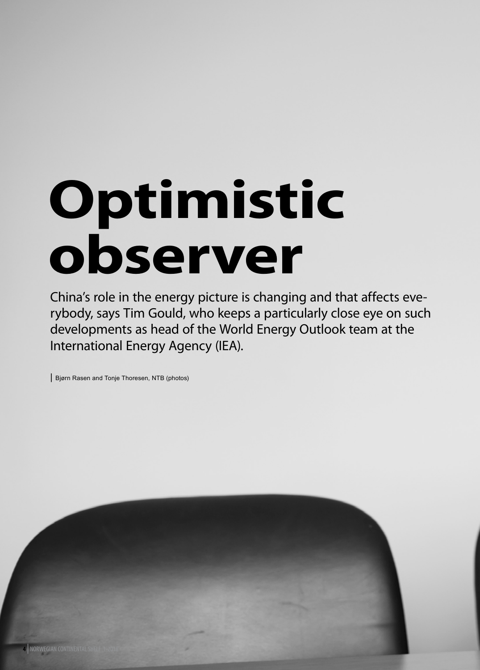# **Optimistic observer**

China's role in the energy picture is changing and that affects everybody, says Tim Gould, who keeps a particularly close eye on such developments as head of the World Energy Outlook team at the International Energy Agency (IEA).

| Bjørn Rasen and Tonje Thoresen, NTB (photos)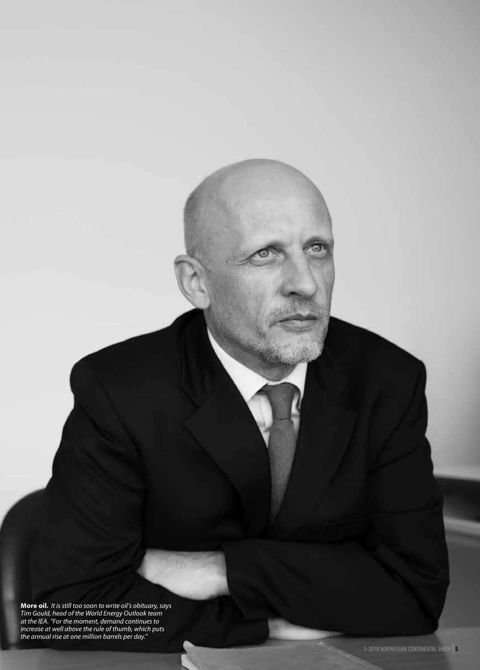**More oil.** *It is still too soon to write oil's obituary, says Tim Gould, head of the World Energy Outlook team at the IEA. "For the moment, demand continues to increase at well above the rule of thumb, which puts the annual rise at one million barrels per day."*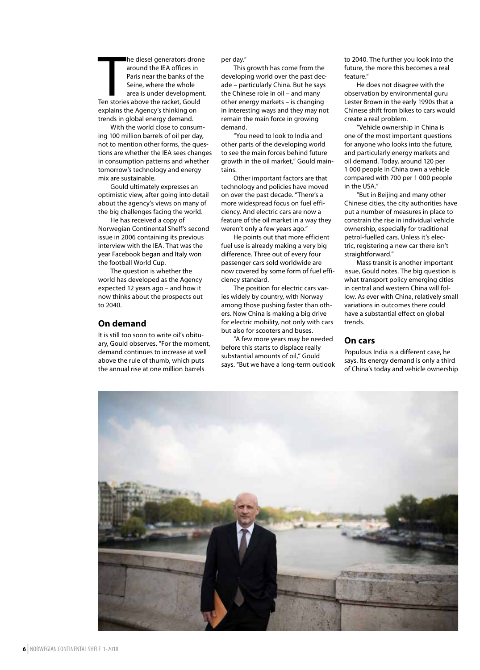The diesel generators dron<br>
around the IEA offices in<br>
Paris near the banks of the<br>
Seine, where the whole<br>
area is under developmen<br>
Ten stories above the racket, Gould he diesel generators drone around the IEA offices in Paris near the banks of the Seine, where the whole area is under development. explains the Agency's thinking on trends in global energy demand.

With the world close to consuming 100 million barrels of oil per day, not to mention other forms, the questions are whether the IEA sees changes in consumption patterns and whether tomorrow's technology and energy mix are sustainable.

Gould ultimately expresses an optimistic view, after going into detail about the agency's views on many of the big challenges facing the world.

He has received a copy of Norwegian Continental Shelf's second issue in 2006 containing its previous interview with the IEA. That was the year Facebook began and Italy won the football World Cup.

The question is whether the world has developed as the Agency expected 12 years ago – and how it now thinks about the prospects out to 2040.

### **On demand**

It is still too soon to write oil's obituary, Gould observes. "For the moment, demand continues to increase at well above the rule of thumb, which puts the annual rise at one million barrels

per day."

This growth has come from the developing world over the past decade – particularly China. But he says the Chinese role in oil – and many other energy markets – is changing in interesting ways and they may not remain the main force in growing demand.

"You need to look to India and other parts of the developing world to see the main forces behind future growth in the oil market," Gould maintains.

Other important factors are that technology and policies have moved on over the past decade. "There's a more widespread focus on fuel efficiency. And electric cars are now a feature of the oil market in a way they weren't only a few years ago."

He points out that more efficient fuel use is already making a very big difference. Three out of every four passenger cars sold worldwide are now covered by some form of fuel efficiency standard.

The position for electric cars varies widely by country, with Norway among those pushing faster than others. Now China is making a big drive for electric mobility, not only with cars but also for scooters and buses.

"A few more years may be needed before this starts to displace really substantial amounts of oil," Gould says. "But we have a long-term outlook to 2040. The further you look into the future, the more this becomes a real feature."

He does not disagree with the observation by environmental guru Lester Brown in the early 1990s that a Chinese shift from bikes to cars would create a real problem.

"Vehicle ownership in China is one of the most important questions for anyone who looks into the future, and particularly energy markets and oil demand. Today, around 120 per 1 000 people in China own a vehicle compared with 700 per 1 000 people in the USA."

"But in Beijing and many other Chinese cities, the city authorities have put a number of measures in place to constrain the rise in individual vehicle ownership, especially for traditional petrol-fuelled cars. Unless it's electric, registering a new car there isn't straightforward."

Mass transit is another important issue, Gould notes. The big question is what transport policy emerging cities in central and western China will follow. As ever with China, relatively small variations in outcomes there could have a substantial effect on global trends.

### **On cars**

Populous India is a different case, he says. Its energy demand is only a third of China's today and vehicle ownership

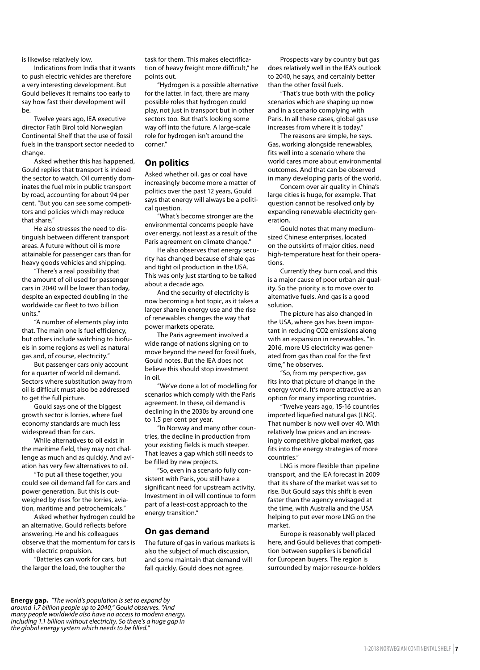is likewise relatively low.

Indications from India that it wants to push electric vehicles are therefore a very interesting development. But Gould believes it remains too early to say how fast their development will  $h$  $\rho$ 

Twelve years ago, IEA executive director Fatih Birol told Norwegian Continental Shelf that the use of fossil fuels in the transport sector needed to change.

Asked whether this has happened, Gould replies that transport is indeed the sector to watch. Oil currently dominates the fuel mix in public transport by road, accounting for about 94 per cent. "But you can see some competitors and policies which may reduce that share."

He also stresses the need to distinguish between different transport areas. A future without oil is more attainable for passenger cars than for heavy goods vehicles and shipping.

"There's a real possibility that the amount of oil used for passenger cars in 2040 will be lower than today, despite an expected doubling in the worldwide car fleet to two billion units."

"A number of elements play into that. The main one is fuel efficiency, but others include switching to biofuels in some regions as well as natural gas and, of course, electricity."

But passenger cars only account for a quarter of world oil demand. Sectors where substitution away from oil is difficult must also be addressed to get the full picture.

Gould says one of the biggest growth sector is lorries, where fuel economy standards are much less widespread than for cars.

While alternatives to oil exist in the maritime field, they may not challenge as much and as quickly. And aviation has very few alternatives to oil.

"To put all these together, you could see oil demand fall for cars and power generation. But this is outweighed by rises for the lorries, aviation, maritime and petrochemicals."

Asked whether hydrogen could be an alternative, Gould reflects before answering. He and his colleagues observe that the momentum for cars is with electric propulsion.

"Batteries can work for cars, but the larger the load, the tougher the

task for them. This makes electrification of heavy freight more difficult," he points out.

"Hydrogen is a possible alternative for the latter. In fact, there are many possible roles that hydrogen could play, not just in transport but in other sectors too. But that's looking some way off into the future. A large-scale role for hydrogen isn't around the corner."

### **On politics**

Asked whether oil, gas or coal have increasingly become more a matter of politics over the past 12 years, Gould says that energy will always be a political question.

"What's become stronger are the environmental concerns people have over energy, not least as a result of the Paris agreement on climate change."

He also observes that energy security has changed because of shale gas and tight oil production in the USA. This was only just starting to be talked about a decade ago.

And the security of electricity is now becoming a hot topic, as it takes a larger share in energy use and the rise of renewables changes the way that power markets operate.

The Paris agreement involved a wide range of nations signing on to move beyond the need for fossil fuels, Gould notes. But the IEA does not believe this should stop investment in oil.

"We've done a lot of modelling for scenarios which comply with the Paris agreement. In these, oil demand is declining in the 2030s by around one to 1.5 per cent per year.

"In Norway and many other countries, the decline in production from your existing fields is much steeper. That leaves a gap which still needs to be filled by new projects.

"So, even in a scenario fully consistent with Paris, you still have a significant need for upstream activity. Investment in oil will continue to form part of a least-cost approach to the energy transition."

### **On gas demand**

The future of gas in various markets is also the subject of much discussion, and some maintain that demand will fall quickly. Gould does not agree.

Prospects vary by country but gas does relatively well in the IEA's outlook to 2040, he says, and certainly better than the other fossil fuels.

"That's true both with the policy scenarios which are shaping up now and in a scenario complying with Paris. In all these cases, global gas use increases from where it is today."

The reasons are simple, he says. Gas, working alongside renewables, fits well into a scenario where the world cares more about environmental outcomes. And that can be observed in many developing parts of the world.

Concern over air quality in China's large cities is huge, for example. That question cannot be resolved only by expanding renewable electricity generation.

Gould notes that many mediumsized Chinese enterprises, located on the outskirts of major cities, need high-temperature heat for their operations.

Currently they burn coal, and this is a major cause of poor urban air quality. So the priority is to move over to alternative fuels. And gas is a good solution.

The picture has also changed in the USA, where gas has been important in reducing CO2 emissions along with an expansion in renewables. "In 2016, more US electricity was generated from gas than coal for the first time," he observes.

"So, from my perspective, gas fits into that picture of change in the energy world. It's more attractive as an option for many importing countries.

"Twelve years ago, 15-16 countries imported liquefied natural gas (LNG). That number is now well over 40. With relatively low prices and an increasingly competitive global market, gas fits into the energy strategies of more countries."

LNG is more flexible than pipeline transport, and the IEA forecast in 2009 that its share of the market was set to rise. But Gould says this shift is even faster than the agency envisaged at the time, with Australia and the USA helping to put ever more LNG on the market.

Europe is reasonably well placed here, and Gould believes that competition between suppliers is beneficial for European buyers. The region is surrounded by major resource-holders

**Energy gap.** *"The world's population is set to expand by around 1.7 billion people up to 2040," Gould observes. "And many people worldwide also have no access to modern energy, including 1.1 billion without electricity. So there's a huge gap in the global energy system which needs to be filled."*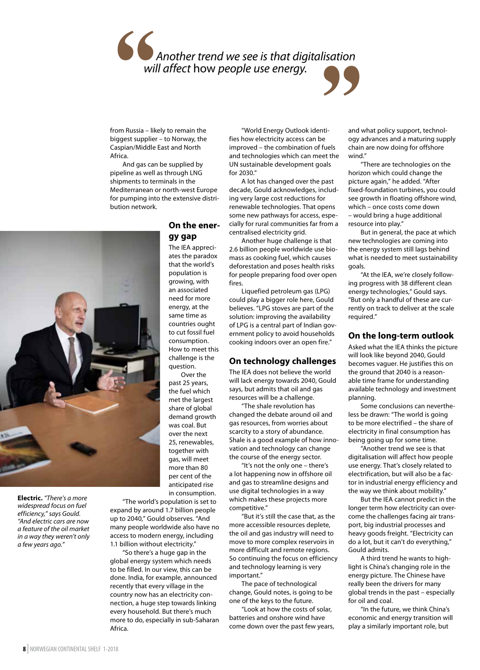# *Another trend we see is that digitalisation will affect* how *people use energy.*

from Russia – likely to remain the biggest supplier – to Norway, the Caspian/Middle East and North Africa.

And gas can be supplied by pipeline as well as through LNG shipments to terminals in the Mediterranean or north-west Europe for pumping into the extensive distribution network.



**Electric.** *"There's a more widespread focus on fuel efficiency," says Gould. "And electric cars are now a feature of the oil market in a way they weren't only a few years ago."*

# **On the energy gap**

The IEA appreciates the paradox that the world's population is growing, with an associated need for more energy, at the same time as countries ought to cut fossil fuel consumption. How to meet this challenge is the question.

Over the past 25 years, the fuel which met the largest share of global demand growth was coal. But over the next 25, renewables, together with gas, will meet more than 80 per cent of the anticipated rise in consumption.

"The world's population is set to expand by around 1.7 billion people up to 2040," Gould observes. "And many people worldwide also have no access to modern energy, including 1.1 billion without electricity."

"So there's a huge gap in the global energy system which needs to be filled. In our view, this can be done. India, for example, announced recently that every village in the country now has an electricity connection, a huge step towards linking every household. But there's much more to do, especially in sub-Saharan Africa.

"World Energy Outlook identifies how electricity access can be improved – the combination of fuels and technologies which can meet the UN sustainable development goals for 2030."

A lot has changed over the past decade, Gould acknowledges, including very large cost reductions for renewable technologies. That opens some new pathways for access, especially for rural communities far from a centralised electricity grid.

Another huge challenge is that 2.6 billion people worldwide use biomass as cooking fuel, which causes deforestation and poses health risks for people preparing food over open fires.

Liquefied petroleum gas (LPG) could play a bigger role here, Gould believes. "LPG stoves are part of the solution: improving the availability of LPG is a central part of Indian government policy to avoid households cooking indoors over an open fire."

# **On technology challenges**

The IEA does not believe the world will lack energy towards 2040, Gould says, but admits that oil and gas resources will be a challenge.

"The shale revolution has changed the debate around oil and gas resources, from worries about scarcity to a story of abundance. Shale is a good example of how innovation and technology can change the course of the energy sector.

"It's not the only one – there's a lot happening now in offshore oil and gas to streamline designs and use digital technologies in a way which makes these projects more competitive."

"But it's still the case that, as the more accessible resources deplete, the oil and gas industry will need to move to more complex reservoirs in more difficult and remote regions. So continuing the focus on efficiency and technology learning is very important."

The pace of technological change, Gould notes, is going to be one of the keys to the future.

"Look at how the costs of solar, batteries and onshore wind have come down over the past few years,

and what policy support, technology advances and a maturing supply chain are now doing for offshore wind."

"There are technologies on the horizon which could change the picture again," he added. "After fixed-foundation turbines, you could see growth in floating offshore wind, which – once costs come down – would bring a huge additional resource into play."

But in general, the pace at which new technologies are coming into the energy system still lags behind what is needed to meet sustainability goals.

"At the IEA, we're closely following progress with 38 different clean energy technologies," Gould says. "But only a handful of these are currently on track to deliver at the scale required."

## **On the long-term outlook**

Asked what the IEA thinks the picture will look like beyond 2040, Gould becomes vaguer. He justifies this on the ground that 2040 is a reasonable time frame for understanding available technology and investment planning.

Some conclusions can nevertheless be drawn: "The world is going to be more electrified – the share of electricity in final consumption has being going up for some time.

"Another trend we see is that digitalisation will affect how people use energy. That's closely related to electrification, but will also be a factor in industrial energy efficiency and the way we think about mobility."

But the IEA cannot predict in the longer term how electricity can overcome the challenges facing air transport, big industrial processes and heavy goods freight. "Electricity can do a lot, but it can't do everything," Gould admits.

A third trend he wants to highlight is China's changing role in the energy picture. The Chinese have really been the drivers for many global trends in the past – especially for oil and coal.

"In the future, we think China's economic and energy transition will play a similarly important role, but